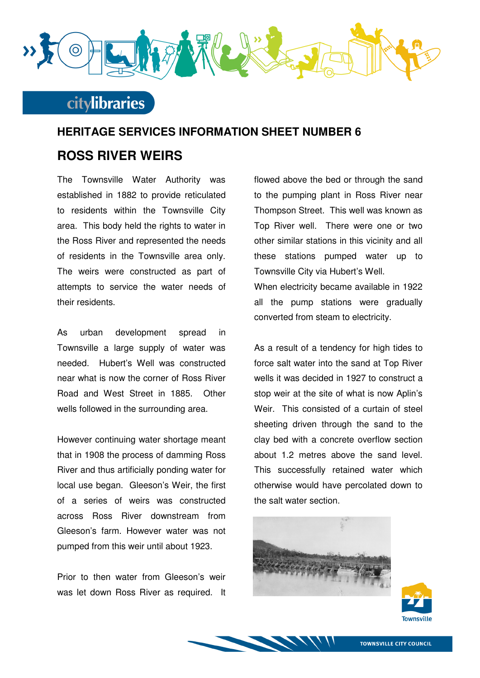

### **citylibraries**

# **HERITAGE SERVICES INFORMATION SHEET NUMBER 6 ROSS RIVER WEIRS**

The Townsville Water Authority was established in 1882 to provide reticulated to residents within the Townsville City area. This body held the rights to water in the Ross River and represented the needs of residents in the Townsville area only. The weirs were constructed as part of attempts to service the water needs of their residents.

As urban development spread in Townsville a large supply of water was needed. Hubert's Well was constructed near what is now the corner of Ross River Road and West Street in 1885. Other wells followed in the surrounding area.

However continuing water shortage meant that in 1908 the process of damming Ross River and thus artificially ponding water for local use began. Gleeson's Weir, the first of a series of weirs was constructed across Ross River downstream from Gleeson's farm. However water was not pumped from this weir until about 1923.

Prior to then water from Gleeson's weir was let down Ross River as required. It

flowed above the bed or through the sand to the pumping plant in Ross River near Thompson Street. This well was known as Top River well. There were one or two other similar stations in this vicinity and all these stations pumped water up to Townsville City via Hubert's Well. When electricity became available in 1922 all the pump stations were gradually converted from steam to electricity.

As a result of a tendency for high tides to force salt water into the sand at Top River wells it was decided in 1927 to construct a stop weir at the site of what is now Aplin's Weir. This consisted of a curtain of steel sheeting driven through the sand to the clay bed with a concrete overflow section about 1.2 metres above the sand level. This successfully retained water which otherwise would have percolated down to the salt water section.





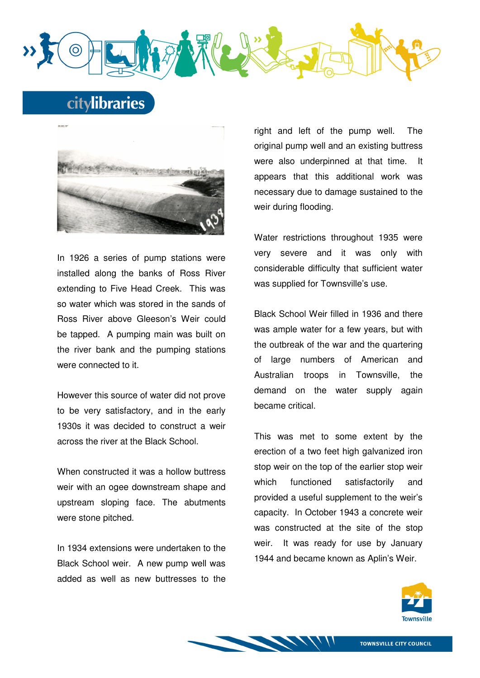

## citylibraries



In 1926 a series of pump stations were installed along the banks of Ross River extending to Five Head Creek. This was so water which was stored in the sands of Ross River above Gleeson's Weir could be tapped. A pumping main was built on the river bank and the pumping stations were connected to it.

However this source of water did not prove to be very satisfactory, and in the early 1930s it was decided to construct a weir across the river at the Black School.

When constructed it was a hollow buttress weir with an ogee downstream shape and upstream sloping face. The abutments were stone pitched.

In 1934 extensions were undertaken to the Black School weir. A new pump well was added as well as new buttresses to the right and left of the pump well. The original pump well and an existing buttress were also underpinned at that time. It appears that this additional work was necessary due to damage sustained to the weir during flooding.

Water restrictions throughout 1935 were very severe and it was only with considerable difficulty that sufficient water was supplied for Townsville's use.

Black School Weir filled in 1936 and there was ample water for a few years, but with the outbreak of the war and the quartering of large numbers of American and Australian troops in Townsville, the demand on the water supply again became critical.

This was met to some extent by the erection of a two feet high galvanized iron stop weir on the top of the earlier stop weir which functioned satisfactorily and provided a useful supplement to the weir's capacity. In October 1943 a concrete weir was constructed at the site of the stop weir. It was ready for use by January 1944 and became known as Aplin's Weir.